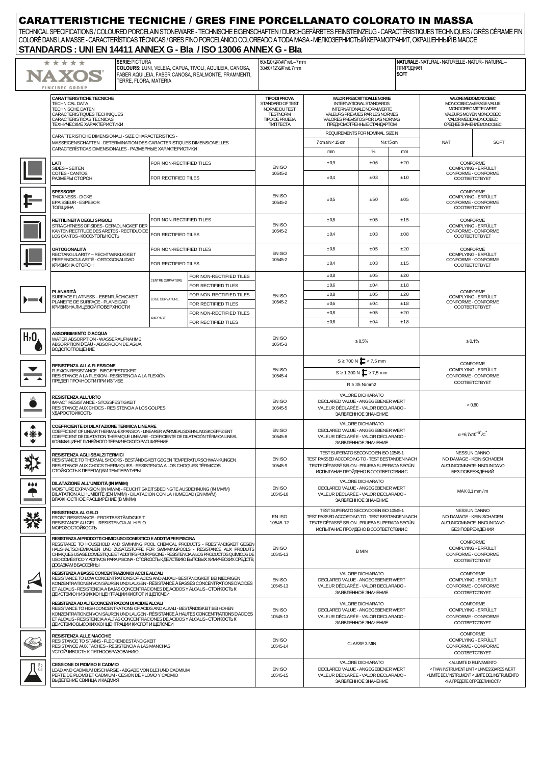| <b>CARATTERISTICHE TECNICHE / GRES FINE PORCELLANATO COLORATO IN MASSA</b><br>TECHNICAL SPECIFICATIONS / COLOURED PORCELAIN STONEWARE - TECHNISCHE EIGENSCHAFTEN / DURCHGEFÄRBTES FEINSTEINZEUG - CARACTÉRISTIQUES TECHNIQUES / GRÈS CÉRAME FIN<br>COLORÉ DANS LA MASSE - CARACTERÍSTICAS TÉCNICAS / GRES FINO PORCELÁNICO COLOREADO A TODA MASA - MEЛКОЗЕРНИСТЫЙ КЕРАМОГРАНИТ, ОКРАШЕННЫЙ В МАССЕ<br>STANDARDS: UNI EN 14411 ANNEX G - Bla / ISO 13006 ANNEX G - Bla |                                                                                                                                                                                                                                                                                                                                                                                                                                                                    |                                                                                                                          |                                                                                                                                                                                                        |                   |                                                                                                                             |                                                                                                                                                                                           |                                                                                |                                                                                |                                                         |  |  |  |
|-----------------------------------------------------------------------------------------------------------------------------------------------------------------------------------------------------------------------------------------------------------------------------------------------------------------------------------------------------------------------------------------------------------------------------------------------------------------------|--------------------------------------------------------------------------------------------------------------------------------------------------------------------------------------------------------------------------------------------------------------------------------------------------------------------------------------------------------------------------------------------------------------------------------------------------------------------|--------------------------------------------------------------------------------------------------------------------------|--------------------------------------------------------------------------------------------------------------------------------------------------------------------------------------------------------|-------------------|-----------------------------------------------------------------------------------------------------------------------------|-------------------------------------------------------------------------------------------------------------------------------------------------------------------------------------------|--------------------------------------------------------------------------------|--------------------------------------------------------------------------------|---------------------------------------------------------|--|--|--|
|                                                                                                                                                                                                                                                                                                                                                                                                                                                                       | <b>SERIE: PICTURA</b><br>* * * * *<br>COLOURS: LUNI, VELEIA, CAPUA, TIVOLI, AQUILEIA, CANOSA,<br>NAXOS<br>FABER AQUILEIA, FABER CANOSA, REALMONTE, FRAMMENTI,<br>TERRE. FLORA. MATERIA<br><b>FINCIBEC GROUP</b>                                                                                                                                                                                                                                                    | 60x120/24"x47" rett - 7 mm<br>30x60/12"x24" rett. 7 mm<br><b>SOFT</b>                                                    |                                                                                                                                                                                                        |                   | ПРИРОДНАЯ                                                                                                                   | NATURALE - NATURAL - NATURELLE - NATUR - NATURAL -                                                                                                                                        |                                                                                |                                                                                |                                                         |  |  |  |
|                                                                                                                                                                                                                                                                                                                                                                                                                                                                       | <b>CARATTERISTICHE TECNICHE</b><br><b>TECHNICAL DATA</b><br><b>TECHNISCHE DATEN</b><br>CARACTERISTIQUES TECHNIQUES<br>CARACTERISTICAS TECNICAS<br>ТЕХНИЧЕСКИЕ ХАРАКТЕРИСТИКИ                                                                                                                                                                                                                                                                                       | <b>TIPO DI PROVA</b><br>STANDARD OF TEST<br>NORME DUTEST<br><b>TESTNORM</b><br><b>TIPO DE PRUEBA</b><br><b>TVITTECTA</b> | VALORI PRESCRITTI DALLE NORME<br><b>INTERNATIONAL STANDARDS</b><br><b>INTERNATIONALE NORMWERTE</b><br>VALEURS PREVUES PAR LES NORMES<br>VALORES PREVISTOS POR LAS NORMAS<br>ПРЕДУСМОТРЕННЫЕ СТАНДАРТОМ |                   |                                                                                                                             | VALORE MEDIO MONOCIBEC<br>MONOCIBEC AVERAGE VALUE<br>MONOCIBECMITTELWERT<br>VALEURS MOYEN MONOCIBEC.<br>VALOR MEDIO MONOGIBEC<br>CPEДHEE3HAYEHVEMONOCIBEC                                 |                                                                                |                                                                                |                                                         |  |  |  |
|                                                                                                                                                                                                                                                                                                                                                                                                                                                                       | CARATTERISTICHE DIMENSIONALI - SIZE CHARACTERISTICS -<br>MASSEIGENSCHAFTEN - DETERMINATION DES CARACTERISTIQUES DIMENSIONELLES<br>CARACTERÍSTICAS DIMENSIONALES - РАЗМЕРНЫЕ ХАРАКТЕРИСТИКИ                                                                                                                                                                                                                                                                         |                                                                                                                          |                                                                                                                                                                                                        |                   | 7 cm≤N<15 cm                                                                                                                | REQUIREMENTS FOR NOMINAL SIZE N<br>$N \geq 15$ cm                                                                                                                                         |                                                                                | <b>NAT</b><br><b>SOFT</b>                                                      |                                                         |  |  |  |
|                                                                                                                                                                                                                                                                                                                                                                                                                                                                       | <b>LATI</b><br>SIDES-SEITEN<br>COTES - CANTOS<br>РАЗМЕРЫ СТОРОН                                                                                                                                                                                                                                                                                                                                                                                                    | FOR NON-RECTIFIED TILES<br>FOR RECTIFIED TILES                                                                           |                                                                                                                                                                                                        | EN ISO<br>10545-2 | mm<br>±0.9<br>±0.4                                                                                                          | $\%$<br>±0.6<br>±0.3                                                                                                                                                                      | mm<br>±2,0<br>±1,0                                                             | CONFORME                                                                       | COMPLYING - ERFÜLLT<br>CONFORME - CONFORME              |  |  |  |
|                                                                                                                                                                                                                                                                                                                                                                                                                                                                       | <b>SPESSORE</b><br>THICKNESS - DICKE<br><b>EPAISSEUR - ESPESOR</b>                                                                                                                                                                                                                                                                                                                                                                                                 |                                                                                                                          |                                                                                                                                                                                                        | EN ISO<br>10545-2 | ±0.5                                                                                                                        | ±5.0                                                                                                                                                                                      | ±0.5                                                                           | COOTBETCTBYET<br>CONFORME<br>COMPLYING - ERFÜLLT<br>CONFORME - CONFORME        |                                                         |  |  |  |
|                                                                                                                                                                                                                                                                                                                                                                                                                                                                       | ТОЛЩИНА<br>RETTILINEITÀ DEGLI SPIGOLI<br>STRAIGHTNESS OF SIDES - GERADLINIGKEIT DER<br>KANTEN RECTITUDE DES ARETES - RECTIDUD DE                                                                                                                                                                                                                                                                                                                                   | FOR NON-RECTIFIED TILES                                                                                                  |                                                                                                                                                                                                        | EN ISO<br>10545-2 | $\pm 0.8$<br>±0.4                                                                                                           | ±0,5<br>±0.3                                                                                                                                                                              | ±1,5<br>±0,8                                                                   | COOTBETCTBYET<br><b>CONFORME</b><br>COMPLYING - ERFÜLLT<br>CONFORME - CONFORME |                                                         |  |  |  |
|                                                                                                                                                                                                                                                                                                                                                                                                                                                                       | LOS CANTOS - КОСОУГОЛЬНОСТЬ<br>ORTOGONALITÀ<br>RECTANGULARITY - RECHTWINKLIGKEIT                                                                                                                                                                                                                                                                                                                                                                                   | FOR RECTIFIED TILES<br>FOR NON-RECTIFIED TILES                                                                           |                                                                                                                                                                                                        | EN ISO            | ±0.8                                                                                                                        | ±0.5                                                                                                                                                                                      | ±20                                                                            |                                                                                | <b>COOTBETCTBYET</b><br>CONFORME<br>COMPLYING - ERFÜLLT |  |  |  |
|                                                                                                                                                                                                                                                                                                                                                                                                                                                                       | PERPENDICULARITÉ - ORTOGONALIDAD<br>КРИВИЗНА СТОРОН                                                                                                                                                                                                                                                                                                                                                                                                                | FOR RECTIFIED TILES                                                                                                      |                                                                                                                                                                                                        | 10545-2           | ±0,4                                                                                                                        | ±0.3                                                                                                                                                                                      | ±1,5                                                                           |                                                                                | CONFORME - CONFORME<br>COOTBETCTBYET                    |  |  |  |
|                                                                                                                                                                                                                                                                                                                                                                                                                                                                       | <b>PLANARITÀ</b>                                                                                                                                                                                                                                                                                                                                                                                                                                                   | CENTRE CURVATURE                                                                                                         | FOR NON-RECTIFIED TILES<br>FOR RECTIFIED TILES<br>FOR NON-RECTIFIED TILES                                                                                                                              | EN ISO            | ±0,8<br>±0,6<br>±0,8                                                                                                        | ±0.5<br>±0,4<br>±0,5                                                                                                                                                                      | ±2,0<br>±1,8<br>±2,0                                                           | CONFORME<br>COMPLYING - ERFÜLLT<br>CONFORME - CONFORME<br>COOTBETCTBYET        |                                                         |  |  |  |
| ∙−                                                                                                                                                                                                                                                                                                                                                                                                                                                                    | SURFACE FLATNESS - EBENFLÄCHIGKEIT<br>PLANEITE DE SURFACE - PLANEIDAD<br>КРИВИЗНА ЛИЦЕВОЙ ПОВЕРХНОСТИ                                                                                                                                                                                                                                                                                                                                                              | EDGE CURVATURE<br><b>NARPAGE</b>                                                                                         | FOR RECTIFIED TILES<br>FOR NON-RECTIFIED TILES<br>FOR RECTIFIED TILES                                                                                                                                  | 10545-2           | ±0,6<br>±0,8                                                                                                                | ±0.4<br>±0.5                                                                                                                                                                              | ±1,8<br>±2,0                                                                   |                                                                                |                                                         |  |  |  |
| $H_2$ O                                                                                                                                                                                                                                                                                                                                                                                                                                                               | <b>ASSORBIMENTO D'ACQUA</b><br>WATER ABSORPTION - WASSERAUFNAHME<br>ABSORPTION D'EAU - ABSORCIÓN DE AGUA                                                                                                                                                                                                                                                                                                                                                           | EN ISO<br>10545-3                                                                                                        | ±0,6<br>±0.4<br>±1,8<br>$\leq 0.5\%$                                                                                                                                                                   |                   | ≤ 0,1%                                                                                                                      |                                                                                                                                                                                           |                                                                                |                                                                                |                                                         |  |  |  |
|                                                                                                                                                                                                                                                                                                                                                                                                                                                                       | <b>ВОДОПОГЛОЩЕНИЕ</b><br>RESISTENZA ALLA FLESSIONE<br>FLEXION RESISTANCE - BIEGEFESTIGKEIT                                                                                                                                                                                                                                                                                                                                                                         | EN ISO                                                                                                                   | $S \ge 700 \text{ N}$ $\blacksquare$ < 7,5 mm<br>$S \ge 1.300 \text{ N}$ $\sum$ $\ge 7.5 \text{ mm}$                                                                                                   |                   |                                                                                                                             | CONFORME<br>COMPLYING - ERFÜLLT<br>CONFORME - CONFORME<br><b>COOTBETCTBYET</b>                                                                                                            |                                                                                |                                                                                |                                                         |  |  |  |
|                                                                                                                                                                                                                                                                                                                                                                                                                                                                       | RESISTANCE A LA FLEXION - RESISTENCIA A LA FLEXIÓN<br>ПРЕДЕЛ ПРОЧНОСТИ ПРИ ИЗГИБЕ                                                                                                                                                                                                                                                                                                                                                                                  | 10545-4                                                                                                                  | $R \geq 35$ N/mm2                                                                                                                                                                                      |                   |                                                                                                                             |                                                                                                                                                                                           |                                                                                |                                                                                |                                                         |  |  |  |
|                                                                                                                                                                                                                                                                                                                                                                                                                                                                       | RESISTENZA ALL'URTO<br><b>IMPACT RESISTANCE - STOSSFESTIGKEIT</b><br>RESISTANCE AUX CHOCS - RESISTENCIA A LOS GOLPES<br>УДАРОСТОЙКОСТЬ                                                                                                                                                                                                                                                                                                                             | EN ISO<br>10545-5                                                                                                        | VALORE DICHIARATO<br>DECLARED VALUE - ANGEGEBENER WERT<br>VALEUR DÉCLARÉE - VALOR DECLARADO -<br>ЗАЯВЛЕННОЕ ЗНАЧЕНИЕ                                                                                   |                   |                                                                                                                             | > 0.80                                                                                                                                                                                    |                                                                                |                                                                                |                                                         |  |  |  |
| €∛≸                                                                                                                                                                                                                                                                                                                                                                                                                                                                   | COEFFICIENTE DI DILATAZIONE TERMICA LINEARE<br>COEFFICIENT OF LINEAR THERMAL-EXPANSION - LINEARER WÄRMEAUSDEHNUNGSKOEFFIZIENT<br>COEFFICIENT DE DILATATION THERMIQUE LINEAIRE - COEFICIENTE DE DILATACIÓN TÉRMICA LINEAL<br>КОЭФФИЦИЕНТ ЛИНЕЙНОГО ТЕРМИЧЕСКОГО РАСШИРЕНИЯ                                                                                                                                                                                          | EN ISO<br>10545-8                                                                                                        | VALORE DICHIARATO<br>DECLARED VALUE - ANGEGEBENER WERT<br>VALEUR DÉCLARÉE - VALOR DECLARADO -<br>ЗАЯВЛЕННОЕ ЗНАЧЕНИЕ                                                                                   |                   |                                                                                                                             | $\alpha = 6,7 \times 10^{-6}$ °/C                                                                                                                                                         |                                                                                |                                                                                |                                                         |  |  |  |
|                                                                                                                                                                                                                                                                                                                                                                                                                                                                       | RESISTENZA AGLI SBALZI TERMICI<br>RESISTANCE TO THERMAL SHOCKS - BESTÄNDIGKEIT GEGEN TEMPERATURSCHWANKUNGEN<br>RESISTANCE AUX CHOCS THERMIQUES - RESISTENCIA A LOS CHOQUES TÉRMICOS<br>СТОЙКОСТЬ К ПЕРЕПАДАМ ТЕМПЕРАТУРЫ                                                                                                                                                                                                                                           | EN ISO<br>10545-9                                                                                                        | TEST SUPERATO SECONDO EN ISO 10545-1<br>TEST PASSED ACCORDING TO - TEST BESTANDEN NACH<br>TEXTE DÉPASSÉ SELON - PRUEBA SUPERADA SEGÚN<br>ИСПЫТАНИЕ ПРОЙДЕНО В СООТВЕТСТВИИ С                           |                   |                                                                                                                             | <b>NESSUN DANNO</b><br>NO DAMAGE - KEIN SCHADEN<br>AUCUNDOMMAGE-NINGUNDANO<br>БЕЗ ПОВРЕЖДЕНИЙ                                                                                             |                                                                                |                                                                                |                                                         |  |  |  |
| $\bullet\bullet\bullet$                                                                                                                                                                                                                                                                                                                                                                                                                                               | DILATAZIONE ALL'UMIDITÀ (IN MM/M)<br>MOISTURE EXPANSION (IN MMM) - FEUCHTIGKEITSBEDINGTE AUSDEHNUNG (IN MMM)<br>DILATATION À L'HUMIDITÉ (EN MMM) - DILATACIÓN CON LA HUMEDAD (EN MMM)<br>ВЛАЖНОСТНОЕ РАСШИРЕНИЕ (В ММ/М)                                                                                                                                                                                                                                           | EN ISO<br>10545-10                                                                                                       | <b>VALORE DICHIARATO</b><br>DECLARED VALUE - ANGEGEBENER WERT<br>VALEUR DÉCLARÉE - VALOR DECLARADO -<br>ЗАЯВЛЕННОЕ ЗНАЧЕНИЕ                                                                            |                   |                                                                                                                             | MAX 0,1 mm / m                                                                                                                                                                            |                                                                                |                                                                                |                                                         |  |  |  |
| 桊                                                                                                                                                                                                                                                                                                                                                                                                                                                                     | RESISTENZA AL GELO<br>FROST RESISTANCE - FROSTBESTÄNDIGKEIT<br>RESISTANCE AU GEL - RESISTENCIA AL HIELO<br><b>МОРОЗОСТОЙКОСТЬ</b>                                                                                                                                                                                                                                                                                                                                  | EN ISO<br>10545-12                                                                                                       | TEST SUPERATO SECONDO EN ISO 10545-1<br>TEST PASSED ACCORDING TO - TEST BESTANDEN NACH<br>TEXTE DÉPASSÉ SELON - PRUEBA SUPERADA SEGÚN<br>ИСПЫТАНИЕ ПРОЙДЕНО В СООТВЕТСТВИИ С                           |                   |                                                                                                                             | <b>NESSUN DANNO</b><br>NO DAMAGE - KEIN SCHADEN<br>AUCUNDOMMAGE-NINGUNDANO<br>БЕЗ ПОВРЕЖДЕНИЙ                                                                                             |                                                                                |                                                                                |                                                         |  |  |  |
|                                                                                                                                                                                                                                                                                                                                                                                                                                                                       | RESISTENZA AI PRODOTTI CHIMICI USO DOMESTICO E ADDITIVI PER PISCINA<br>RESISTANCE TO HOUSEHOLD AND SWIMMING POOL CHEMICAL PRODUCTS - RBESTÄNDIGKEIT GEGEN<br>HAUSHALTSCHEMIKALIEN UND ZUSATZSTOFFE FÜR SWIMMINGPOOLS - RÉSISTANCE AUX PRODUITS<br>CHIMIQUES USAGE DOMESTIQUE ET ADDITIFS POUR PISCINE - RESISTENCIA A LOS PRODUCTOS QUÍMICOS DE<br>USO DOMÉSTICO Y ADITIVOS PARA PISCINA - СТОЙКОСТЬ К ДЕЙСТВИЮ БЫТОВЫХ ХИМИЧЕСКИХ СРЕДСТВ,<br>ДОБАВКАМ В БАССЕЙНЫ |                                                                                                                          | EN ISO<br>10545-13                                                                                                                                                                                     | <b>B MIN</b>      |                                                                                                                             |                                                                                                                                                                                           | <b>CONFORME</b><br>COMPLYING - ERFÜLLT<br>CONFORME - CONFORME<br>COOTBETCTBYET |                                                                                |                                                         |  |  |  |
|                                                                                                                                                                                                                                                                                                                                                                                                                                                                       | RESISTENZA A BASSE CONCENTRAZIONI DI ACIDI E ALCALI<br>RESISTANCE TO LOW CONCENTRATIONS OF ACIDS AND ALKALI - BESTÄNDIGKEIT BEI NIEDRIGEN<br>KONZENTRATIONEN VON SÄUREN UND LAUGEN - RÉSISTANCE À BASSES CONCENTRATIONS D'ACIDES<br>ET ALCALIS - RESISTENCIA A BAJAS CONCENTRACIONES DE ÁCIDOS Y ÁLCALIS - CTOЙKOCTЬ K<br>ДЕЙСТВИЮ НИЗКИХ КОНЦЕНТРАЦИЙ КИСЛОТ И ЩЕЛОЧЕЙ                                                                                            | EN ISO<br>10545-13                                                                                                       | VALORE DICHIARATO<br>DECLARED VALUE - ANGEGEBENER WERT<br>VALEUR DÉCLARÉE - VALOR DECLARADO -<br>ЗАЯВЛЕННОЕ ЗНАЧЕНИЕ                                                                                   |                   |                                                                                                                             | CONFORME<br>COMPLYING - ERFÜLLT<br>CONFORME - CONFORME<br>COOTBETCTBYET                                                                                                                   |                                                                                |                                                                                |                                                         |  |  |  |
|                                                                                                                                                                                                                                                                                                                                                                                                                                                                       | RESISTENZA AD ALTE CONCENTRAZIONI DI ACIDI E ALCALI<br>RESISTANCE TO HIGH CONCENTRATIONS OF ACIDS AND ALKALI - BESTÄNDIGKEIT BEI HOHEN<br>KONZENTRATIONEN VON SÄUREN UND LAUGEN - RÉSISTANCE À HAUTES CONCENTRATIONS D'ACIDES<br>ET ALCALIS - RESISTENCIA A ALTAS CONCENTRACIONES DE ÁCIDOS Y ÁLCALIS - CTOЙКОСТЬ К<br>ДЕЙСТВИЮ ВЫСОКИХ КОНЦЕНТРАЦИЙ КИСЛОТ И ЩЕЛОЧЕЙ                                                                                              |                                                                                                                          |                                                                                                                                                                                                        |                   | <b>VALORE DICHIARATO</b><br>DECLARED VALUE - ANGEGEBENER WERT<br>VALEUR DÉCLARÉE - VALOR DECLARADO -<br>ЗАЯВЛЕННОЕ ЗНАЧЕНИЕ |                                                                                                                                                                                           |                                                                                | <b>CONFORME</b><br>COMPLYING - ERFÜLLT<br>CONFORME - CONFORME<br>COOTBETCTBYET |                                                         |  |  |  |
| lw                                                                                                                                                                                                                                                                                                                                                                                                                                                                    | <b>RESISTENZA ALLE MACCHIE</b><br>RESISTANCE TO STAINS - FLECKENBESTÄNDIGKEIT<br>RESISTANCE AUX TACHES - RESISTENCIA A LAS MANCHAS<br>УСТОЙЧИВОСТЬ К ПЯТНООБРАЗОВАНИЮ                                                                                                                                                                                                                                                                                              | EN ISO<br>10545-14                                                                                                       | CLASSE 3 MIN                                                                                                                                                                                           |                   |                                                                                                                             | <b>CONFORME</b><br>COMPLYING - ERFÜLLT<br>CONFORME - CONFORME<br>COOTBETCTBYET                                                                                                            |                                                                                |                                                                                |                                                         |  |  |  |
| Cd                                                                                                                                                                                                                                                                                                                                                                                                                                                                    | <b>CESSIONE DI PIOMBO E CADMIO</b><br>LEAD AND CADMIUM DISCHARGE - ABGABE VON BLEI UND CADMIUM<br>PERTE DE PLOMB ET CADMIUM - CESIÓN DE PLOMO Y CADMIO<br>ВЫДЕЛЕНИЕ СВИНЦА И КАДМИЯ                                                                                                                                                                                                                                                                                | EN ISO<br>10545-15                                                                                                       | VALORE DICHIARATO<br>DECLARED VALUE - ANGEGEBENER WERT<br>VALEUR DÉCLARÉE - VALOR DECLARADO -<br>ЗАЯВЛЕННОЕ ЗНАЧЕНИЕ                                                                                   |                   |                                                                                                                             | < AL LIMITE DI RILEVAMENTO<br><than <="" instrument="" limit="" unmessbares="" wert<br="">&lt; LIMITE DE L'INSTRUMENT &lt; LIMITE DEL INSTRUMENTO<br/>&lt;НА ПРЕДЕЛЕ ОПРЕДЕЛИМОСТИ</than> |                                                                                |                                                                                |                                                         |  |  |  |